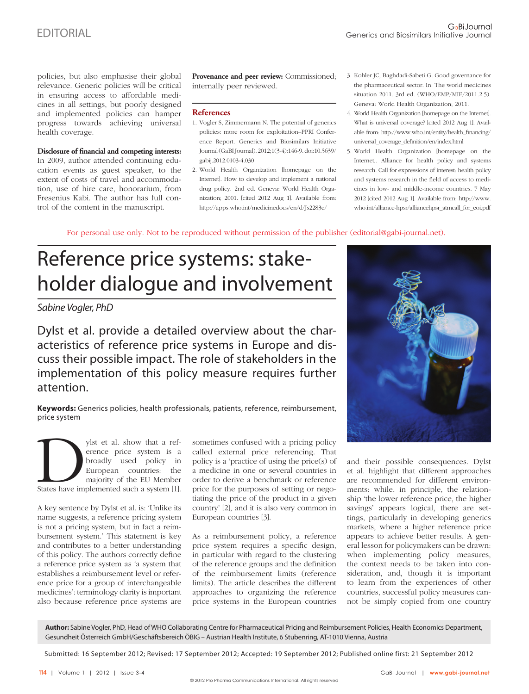For personal use only. Not to be reproduced without permission of the publisher (editorial@gabi-journal.net).

# Reference price systems: stakeholder dialogue and involvement

# Sabine Vogler, PhD

Dylst et al. provide a detailed overview about the characteristics of reference price systems in Europe and discuss their possible impact. The role of stakeholders in the implementation of this policy measure requires further attention.

**Keywords:** Generics policies, health professionals, patients, reference, reimbursement, price system

ylst et al. show that a reference price system is a broadly used policy in European countries: the majority of the EU Member<br>States have implemented such a system [1]. erence price system is a broadly used policy in European countries: the majority of the EU Member

A key sentence by Dylst et al. is: 'Unlike its name suggests, a reference pricing system is not a pricing system, but in fact a reimbursement system.' This statement is key and contributes to a better understanding of this policy. The authors correctly define a reference price system as 'a system that establishes a reimbursement level or reference price for a group of interchangeable medicines': terminology clarity is important also because reference price systems are

sometimes confused with a pricing policy called external price referencing. That policy is a 'practice of using the price(s) of a medicine in one or several countries in order to derive a benchmark or reference price for the purposes of setting or negotiating the price of the product in a given country' [2], and it is also very common in European countries [3].

As a reimbursement policy, a reference price system requires a specific design, in particular with regard to the clustering of the reference groups and the definition of the reimbursement limits (reference limits). The article describes the different approaches to organizing the reference price systems in the European countries



and their possible consequences. Dylst et al. highlight that different approaches are recommended for different environments: while, in principle, the relationship 'the lower reference price, the higher savings' appears logical, there are settings, particularly in developing generics markets, where a higher reference price appears to achieve better results. A general lesson for policymakers can be drawn: when implementing policy measures, the context needs to be taken into consideration, and, though it is important to learn from the experiences of other countries, successful policy measures cannot be simply copied from one country

**Author:** Sabine Vogler, PhD, Head of WHO Collaborating Centre for Pharmaceutical Pricing and Reimbursement Policies, Health Economics Department, Gesundheit Österreich GmbH/Geschäftsbereich ÖBIG – Austrian Health Institute, 6 Stubenring, AT-1010 Vienna, Austria

Submitted: 16 September 2012; Revised: 17 September 2012; Accepted: 19 September 2012; Published online first: 21 September 2012